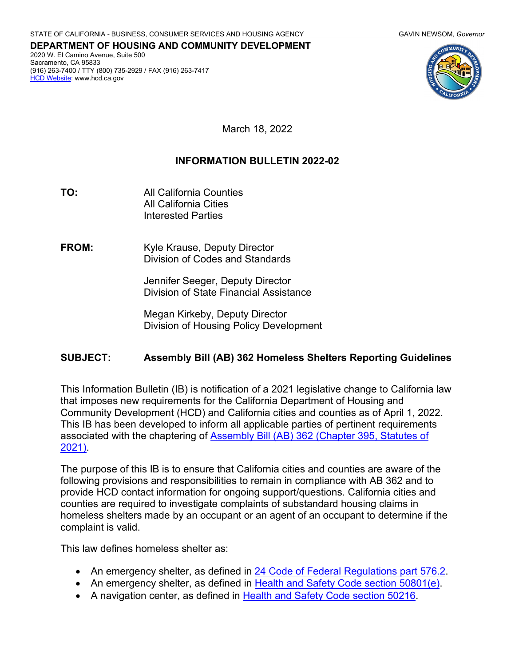**DEPARTMENT OF HOUSING AND COMMUNITY DEVELOPMENT** 2020 W. El Camino Avenue, Suite 500 Sacramento, CA 95833 (916) 263-7400 / TTY (800) 735-2929 / FAX (916) 263-7417 **HCD Website:** www.hcd.ca.gov



March 18, 2022

## **INFORMATION BULLETIN 2022-02**

**TO:** All California Counties All California Cities Interested Parties

**FROM:** Kyle Krause, Deputy Director Division of Codes and Standards

> Jennifer Seeger, Deputy Director Division of State Financial Assistance

Megan Kirkeby, Deputy Director Division of Housing Policy Development

## **SUBJECT: Assembly Bill (AB) 362 Homeless Shelters Reporting Guidelines**

This Information Bulletin (IB) is notification of a 2021 legislative change to California law that imposes new requirements for the California Department of Housing and Community Development (HCD) and California cities and counties as of April 1, 2022. This IB has been developed to inform all applicable parties of pertinent requirements associated with the chaptering of [Assembly Bill \(AB\) 362 \(Chapter 395, Statutes of](https://leginfo.legislature.ca.gov/faces/billCompareClient.xhtml?bill_id=202120220AB362&showamends=false)  [2021\).](https://leginfo.legislature.ca.gov/faces/billCompareClient.xhtml?bill_id=202120220AB362&showamends=false)

The purpose of this IB is to ensure that California cities and counties are aware of the following provisions and responsibilities to remain in compliance with AB 362 and to provide HCD contact information for ongoing support/questions. California cities and counties are required to investigate complaints of substandard housing claims in homeless shelters made by an occupant or an agent of an occupant to determine if the complaint is valid.

This law defines homeless shelter as:

- An emergency shelter, as defined in 24 [Code of Federal Regulations part 576.2.](https://www.ecfr.gov/current/title-24/subtitle-B/chapter-V/subchapter-C/part-576/subpart-A/section-576.2)
- An emergency shelter, as defined in [Health and Safety Code section 50801\(e\).](https://leginfo.legislature.ca.gov/faces/codes_displaySection.xhtml?sectionNum=50801.&lawCode=HSC)
- A navigation center, as defined in [Health and Safety Code section 50216.](https://leginfo.legislature.ca.gov/faces/codes_displaySection.xhtml?sectionNum=50216.&lawCode=HSC)